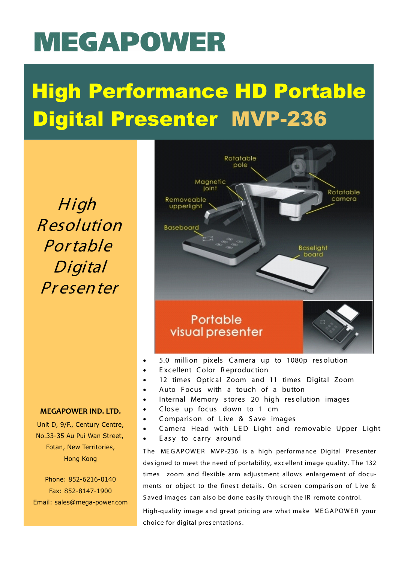# **MEGAPOWER**

## High Performance HD Portable Digital Presenter MVP-236

High Resolution Portable Digital Pr esenter



- 5.0 million pixels Camera up to 1080p res olution
- Excellent Color Reproduction
- 12 times Optical Zoom and 11 times Digital Zoom
- Auto Focus with a touch of a button
- Internal Memory stores 20 high res olution images
- Close up focus down to 1 cm
- Comparis on of Live & Save images
- Camera Head with LED Light and removable Upper Light
- Easy to carry around

The MEGAPOWER MVP-236 is a high performance Digital Presenter designed to meet the need of portability, excellent image quality. The 132 times zoom and flexible arm adjustment allows enlargement of documents or object to the finest details. On screen comparison of Live & S aved images can als o be done easily through the IR remote control.

High-quality image and great pricing are what make ME GAPOWE R your choice for digital pres entations.

#### **MEGAPOWER IND. LTD.**

Unit D, 9/F., Century Centre, No.33-35 Au Pui Wan Street, Fotan, New Territories, Hong Kong

Phone: 852-6216-0140 Fax: 852-8147-1900 Email: sales@mega-power.com